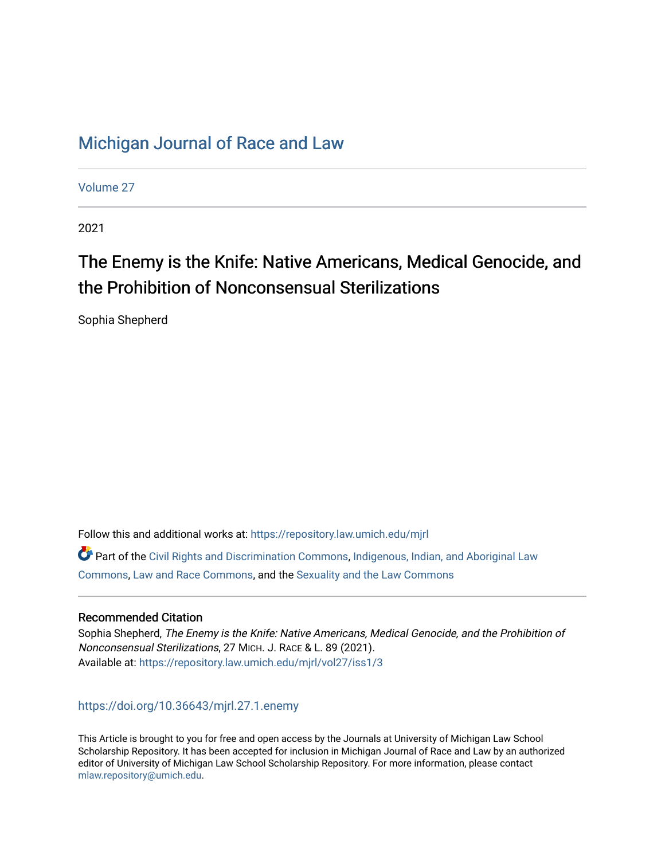## [Michigan Journal of Race and Law](https://repository.law.umich.edu/mjrl)

[Volume 27](https://repository.law.umich.edu/mjrl/vol27)

2021

# The Enemy is the Knife: Native Americans, Medical Genocide, and the Prohibition of Nonconsensual Sterilizations

Sophia Shepherd

Follow this and additional works at: [https://repository.law.umich.edu/mjrl](https://repository.law.umich.edu/mjrl?utm_source=repository.law.umich.edu%2Fmjrl%2Fvol27%2Fiss1%2F3&utm_medium=PDF&utm_campaign=PDFCoverPages) 

 $\bullet$  Part of the [Civil Rights and Discrimination Commons,](https://network.bepress.com/hgg/discipline/585?utm_source=repository.law.umich.edu%2Fmjrl%2Fvol27%2Fiss1%2F3&utm_medium=PDF&utm_campaign=PDFCoverPages) [Indigenous, Indian, and Aboriginal Law](https://network.bepress.com/hgg/discipline/894?utm_source=repository.law.umich.edu%2Fmjrl%2Fvol27%2Fiss1%2F3&utm_medium=PDF&utm_campaign=PDFCoverPages) [Commons](https://network.bepress.com/hgg/discipline/894?utm_source=repository.law.umich.edu%2Fmjrl%2Fvol27%2Fiss1%2F3&utm_medium=PDF&utm_campaign=PDFCoverPages), [Law and Race Commons](https://network.bepress.com/hgg/discipline/1300?utm_source=repository.law.umich.edu%2Fmjrl%2Fvol27%2Fiss1%2F3&utm_medium=PDF&utm_campaign=PDFCoverPages), and the [Sexuality and the Law Commons](https://network.bepress.com/hgg/discipline/877?utm_source=repository.law.umich.edu%2Fmjrl%2Fvol27%2Fiss1%2F3&utm_medium=PDF&utm_campaign=PDFCoverPages)

## Recommended Citation

Sophia Shepherd, The Enemy is the Knife: Native Americans, Medical Genocide, and the Prohibition of Nonconsensual Sterilizations, 27 MICH. J. RACE & L. 89 (2021). Available at: [https://repository.law.umich.edu/mjrl/vol27/iss1/3](https://repository.law.umich.edu/mjrl/vol27/iss1/3?utm_source=repository.law.umich.edu%2Fmjrl%2Fvol27%2Fiss1%2F3&utm_medium=PDF&utm_campaign=PDFCoverPages) 

<https://doi.org/10.36643/mjrl.27.1.enemy>

This Article is brought to you for free and open access by the Journals at University of Michigan Law School Scholarship Repository. It has been accepted for inclusion in Michigan Journal of Race and Law by an authorized editor of University of Michigan Law School Scholarship Repository. For more information, please contact [mlaw.repository@umich.edu.](mailto:mlaw.repository@umich.edu)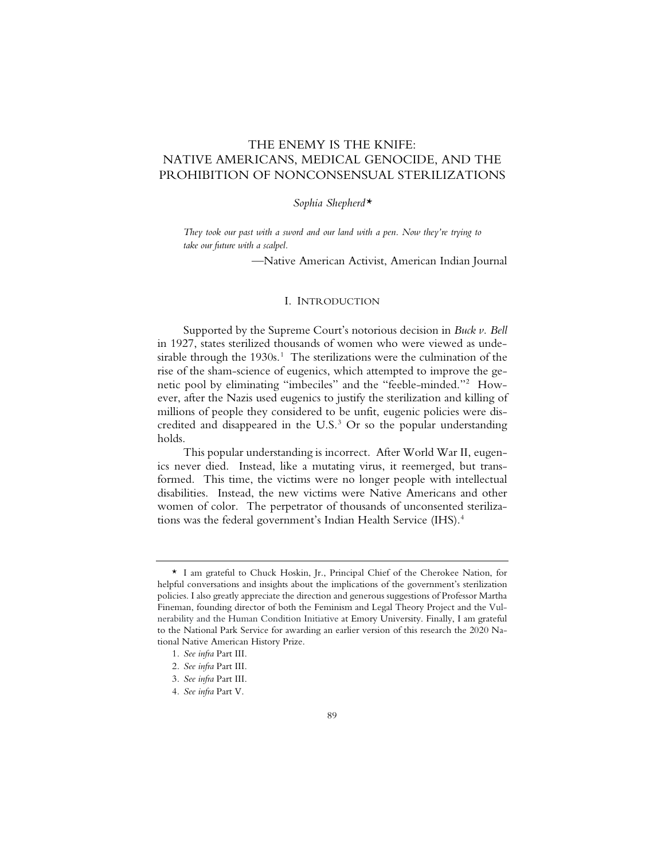## THE ENEMY IS THE KNIFE: NATIVE AMERICANS, MEDICAL GENOCIDE, AND THE PROHIBITION OF NONCONSENSUAL STERILIZATIONS

#### *Sophia Shepherd\**

*They took our past with a sword and our land with a pen. Now they're trying to take our future with a scalpel.*

—Native American Activist, American Indian Journal

#### I. INTRODUCTION

Supported by the Supreme Court's notorious decision in *Buck v. Bell*  in 1927, states sterilized thousands of women who were viewed as undesirable through the  $1930s<sup>1</sup>$ . The sterilizations were the culmination of the rise of the sham-science of eugenics, which attempted to improve the genetic pool by eliminating "imbeciles" and the "feeble-minded."2 However, after the Nazis used eugenics to justify the sterilization and killing of millions of people they considered to be unfit, eugenic policies were discredited and disappeared in the U.S.<sup>3</sup> Or so the popular understanding holds.

This popular understanding is incorrect. After World War II, eugenics never died. Instead, like a mutating virus, it reemerged, but transformed. This time, the victims were no longer people with intellectual disabilities. Instead, the new victims were Native Americans and other women of color. The perpetrator of thousands of unconsented sterilizations was the federal government's Indian Health Service (IHS).<sup>4</sup>

<sup>\*</sup> I am grateful to Chuck Hoskin, Jr., Principal Chief of the Cherokee Nation, for helpful conversations and insights about the implications of the government's sterilization policies. I also greatly appreciate the direction and generous suggestions of Professor Martha Fineman, founding director of both the Feminism and Legal Theory Project and the Vulnerability and the Human Condition Initiative at Emory University. Finally, I am grateful to the National Park Service for awarding an earlier version of this research the 2020 National Native American History Prize.

<sup>1</sup>*. See infra* Part III.

<sup>2</sup>*. See infra* Part III.

<sup>3</sup>*. See infra* Part III.

<sup>4</sup>*. See infra* Part V.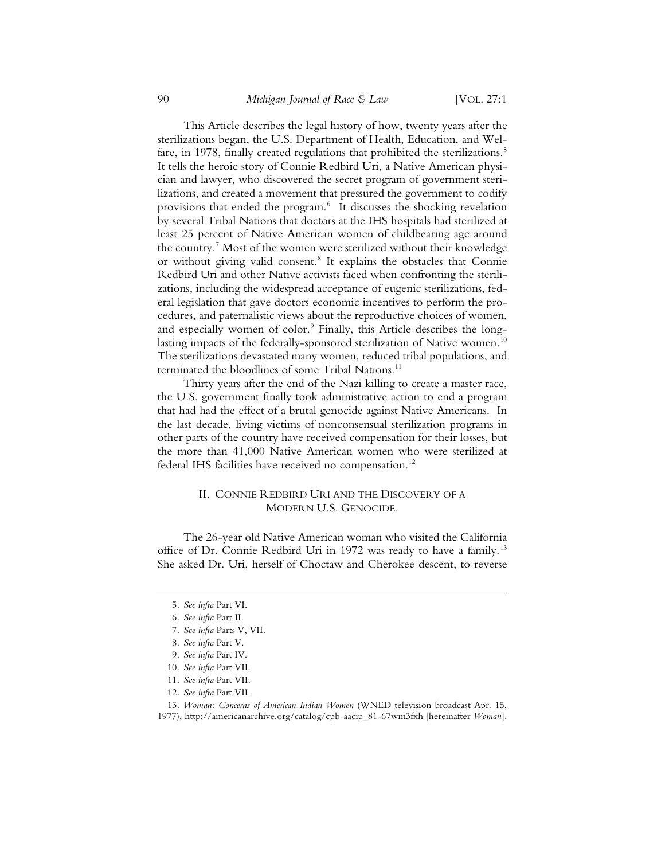This Article describes the legal history of how, twenty years after the sterilizations began, the U.S. Department of Health, Education, and Welfare, in 1978, finally created regulations that prohibited the sterilizations.<sup>5</sup> It tells the heroic story of Connie Redbird Uri, a Native American physician and lawyer, who discovered the secret program of government sterilizations, and created a movement that pressured the government to codify provisions that ended the program.<sup>6</sup> It discusses the shocking revelation by several Tribal Nations that doctors at the IHS hospitals had sterilized at least 25 percent of Native American women of childbearing age around the country.7 Most of the women were sterilized without their knowledge or without giving valid consent.<sup>8</sup> It explains the obstacles that Connie Redbird Uri and other Native activists faced when confronting the sterilizations, including the widespread acceptance of eugenic sterilizations, federal legislation that gave doctors economic incentives to perform the procedures, and paternalistic views about the reproductive choices of women, and especially women of color.<sup>9</sup> Finally, this Article describes the longlasting impacts of the federally-sponsored sterilization of Native women.<sup>10</sup> The sterilizations devastated many women, reduced tribal populations, and terminated the bloodlines of some Tribal Nations.<sup>11</sup>

Thirty years after the end of the Nazi killing to create a master race, the U.S. government finally took administrative action to end a program that had had the effect of a brutal genocide against Native Americans. In the last decade, living victims of nonconsensual sterilization programs in other parts of the country have received compensation for their losses, but the more than 41,000 Native American women who were sterilized at federal IHS facilities have received no compensation.<sup>12</sup>

#### II. CONNIE REDBIRD URI AND THE DISCOVERY OF A MODERN U.S. GENOCIDE.

The 26-year old Native American woman who visited the California office of Dr. Connie Redbird Uri in 1972 was ready to have a family.<sup>13</sup> She asked Dr. Uri, herself of Choctaw and Cherokee descent, to reverse

- 11*. See infra* Part VII.
- 12*. See infra* Part VII.

<sup>5</sup>*. See infra* Part VI.

<sup>6</sup>*. See infra* Part II.

<sup>7</sup>*. See infra* Parts V, VII.

<sup>8</sup>*. See infra* Part V.

<sup>9</sup>*. See infra* Part IV.

<sup>10</sup>*. See infra* Part VII.

<sup>13</sup>*. Woman: Concerns of American Indian Women* (WNED television broadcast Apr. 15, 1977), http://americanarchive.org/catalog/cpb-aacip\_81-67wm3fxh [hereinafter *Woman*].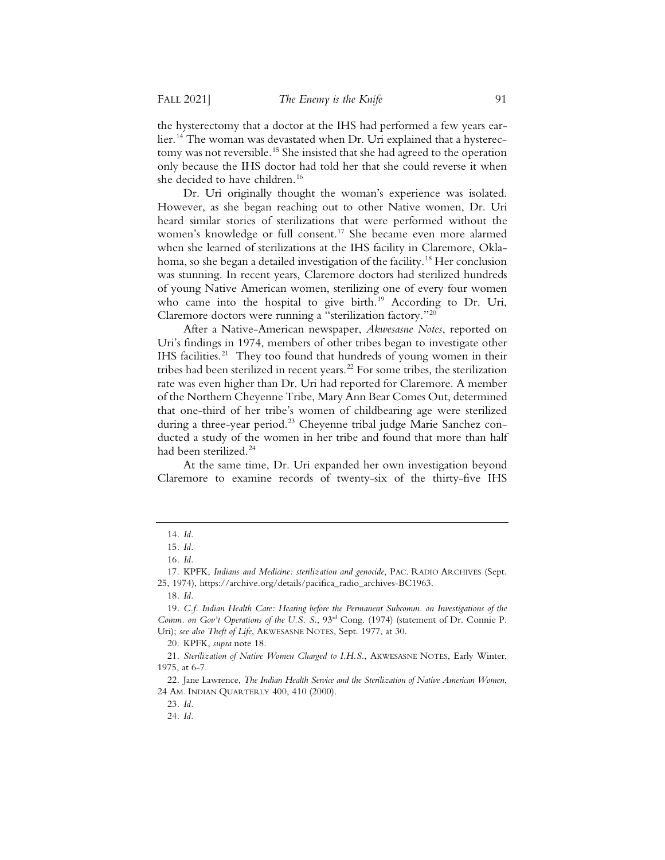the hysterectomy that a doctor at the IHS had performed a few years earlier.<sup>14</sup> The woman was devastated when Dr. Uri explained that a hysterectomy was not reversible.<sup>15</sup> She insisted that she had agreed to the operation only because the IHS doctor had told her that she could reverse it when she decided to have children.<sup>16</sup>

Dr. Uri originally thought the woman's experience was isolated. However, as she began reaching out to other Native women, Dr. Uri heard similar stories of sterilizations that were performed without the women's knowledge or full consent.<sup>17</sup> She became even more alarmed when she learned of sterilizations at the IHS facility in Claremore, Oklahoma, so she began a detailed investigation of the facility.<sup>18</sup> Her conclusion was stunning. In recent years, Claremore doctors had sterilized hundreds of young Native American women, sterilizing one of every four women who came into the hospital to give birth.<sup>19</sup> According to Dr. Uri, Claremore doctors were running a "sterilization factory."20

After a Native-American newspaper, *Akwesasne Notes*, reported on Uri's findings in 1974, members of other tribes began to investigate other IHS facilities. $21$  They too found that hundreds of young women in their tribes had been sterilized in recent years.<sup>22</sup> For some tribes, the sterilization rate was even higher than Dr. Uri had reported for Claremore. A member of the Northern Cheyenne Tribe, Mary Ann Bear Comes Out, determined that one-third of her tribe's women of childbearing age were sterilized during a three-year period.<sup>23</sup> Cheyenne tribal judge Marie Sanchez conducted a study of the women in her tribe and found that more than half had been sterilized.<sup>24</sup>

At the same time, Dr. Uri expanded her own investigation beyond Claremore to examine records of twenty-six of the thirty-five IHS

18*. Id.*

<sup>14</sup>*. Id.*

<sup>15</sup>*. Id.*

<sup>16</sup>*. Id.*

<sup>17.</sup> KPFK, *Indians and Medicine: sterilization and genocide*, PAC. RADIO ARCHIVES (Sept. 25, 1974), https://archive.org/details/pacifica\_radio\_archives-BC1963.

<sup>19</sup>*. C.f. Indian Health Care: Hearing before the Permanent Subcomm. on Investigations of the Comm. on Gov't Operations of the U.S. S.*, 93rd Cong. (1974) (statement of Dr. Connie P. Uri); *see also Theft of Life*, AKWESASNE NOTES, Sept. 1977, at 30.

<sup>20.</sup> KPFK, *supra* note 18.

<sup>21.</sup> *Sterilization of Native Women Charged to I.H.S.*, AKWESASNE NOTES, Early Winter, 1975, at 6-7.

<sup>22.</sup> Jane Lawrence, *The Indian Health Service and the Sterilization of Native American Women*, 24 AM. INDIAN QUARTERLY 400, 410 (2000).

<sup>23</sup>*. Id.*

<sup>24</sup>*. Id.*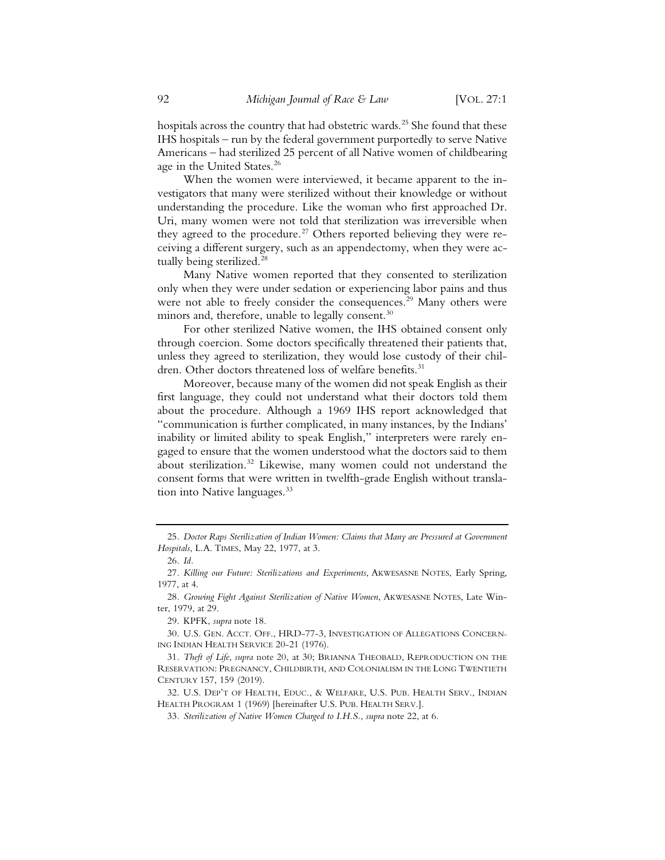hospitals across the country that had obstetric wards.<sup>25</sup> She found that these IHS hospitals – run by the federal government purportedly to serve Native Americans – had sterilized 25 percent of all Native women of childbearing age in the United States.26

When the women were interviewed, it became apparent to the investigators that many were sterilized without their knowledge or without understanding the procedure. Like the woman who first approached Dr. Uri, many women were not told that sterilization was irreversible when they agreed to the procedure.<sup>27</sup> Others reported believing they were receiving a different surgery, such as an appendectomy, when they were actually being sterilized.<sup>28</sup>

Many Native women reported that they consented to sterilization only when they were under sedation or experiencing labor pains and thus were not able to freely consider the consequences.<sup>29</sup> Many others were minors and, therefore, unable to legally consent.<sup>30</sup>

For other sterilized Native women, the IHS obtained consent only through coercion. Some doctors specifically threatened their patients that, unless they agreed to sterilization, they would lose custody of their children. Other doctors threatened loss of welfare benefits.<sup>31</sup>

Moreover, because many of the women did not speak English as their first language, they could not understand what their doctors told them about the procedure. Although a 1969 IHS report acknowledged that "communication is further complicated, in many instances, by the Indians' inability or limited ability to speak English," interpreters were rarely engaged to ensure that the women understood what the doctors said to them about sterilization.<sup>32</sup> Likewise, many women could not understand the consent forms that were written in twelfth-grade English without translation into Native languages.<sup>33</sup>

<sup>25</sup>*. Doctor Raps Sterilization of Indian Women: Claims that Many are Pressured at Government Hospitals*, L.A. TIMES, May 22, 1977, at 3.

<sup>26</sup>*. Id.*

<sup>27</sup>*. Killing our Future: Sterilizations and Experiments*, AKWESASNE NOTES, Early Spring, 1977, at 4.

<sup>28</sup>*. Growing Fight Against Sterilization of Native Women*, AKWESASNE NOTES, Late Winter, 1979, at 29.

<sup>29.</sup> KPFK, *supra* note 18.

<sup>30.</sup> U.S. GEN. ACCT. OFF., HRD-77-3, INVESTIGATION OF ALLEGATIONS CONCERN-ING INDIAN HEALTH SERVICE 20-21 (1976).

<sup>31</sup>*. Theft of Life*, *supra* note 20, at 30; BRIANNA THEOBALD, REPRODUCTION ON THE RESERVATION: PREGNANCY, CHILDBIRTH, AND COLONIALISM IN THE LONG TWENTIETH CENTURY 157, 159 (2019).

<sup>32.</sup> U.S. DEP'T OF HEALTH, EDUC., & WELFARE, U.S. PUB. HEALTH SERV., INDIAN HEALTH PROGRAM 1 (1969) [hereinafter U.S. PUB. HEALTH SERV.].

<sup>33</sup>*. Sterilization of Native Women Charged to I.H.S.*, *supra* note 22, at 6.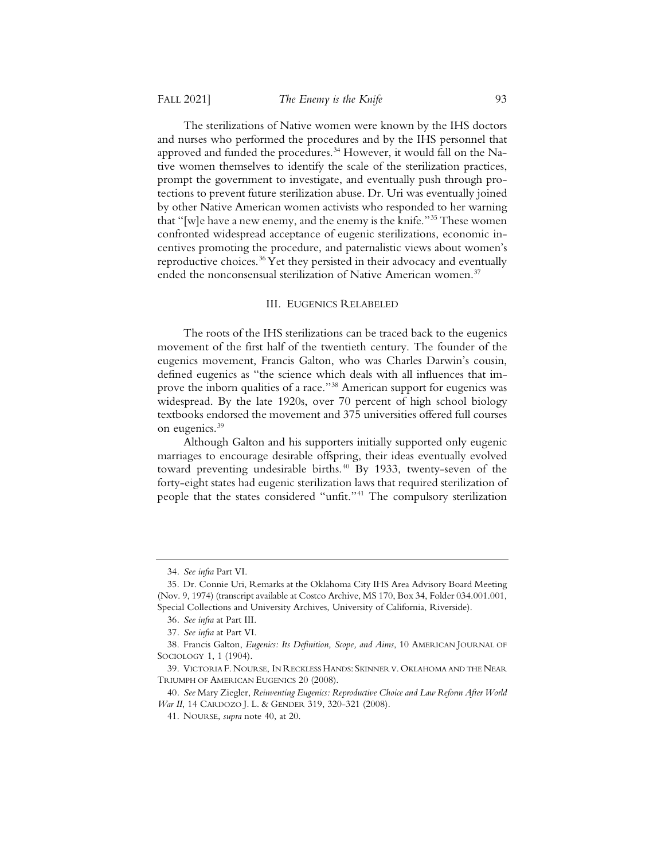The sterilizations of Native women were known by the IHS doctors and nurses who performed the procedures and by the IHS personnel that approved and funded the procedures.<sup>34</sup> However, it would fall on the Native women themselves to identify the scale of the sterilization practices, prompt the government to investigate, and eventually push through protections to prevent future sterilization abuse. Dr. Uri was eventually joined by other Native American women activists who responded to her warning that "[w]e have a new enemy, and the enemy is the knife."35 These women confronted widespread acceptance of eugenic sterilizations, economic incentives promoting the procedure, and paternalistic views about women's reproductive choices.<sup>36</sup> Yet they persisted in their advocacy and eventually ended the nonconsensual sterilization of Native American women.<sup>37</sup>

#### III. EUGENICS RELABELED

The roots of the IHS sterilizations can be traced back to the eugenics movement of the first half of the twentieth century. The founder of the eugenics movement, Francis Galton, who was Charles Darwin's cousin, defined eugenics as "the science which deals with all influences that improve the inborn qualities of a race."<sup>38</sup> American support for eugenics was widespread. By the late 1920s, over 70 percent of high school biology textbooks endorsed the movement and 375 universities offered full courses on eugenics.<sup>39</sup>

Although Galton and his supporters initially supported only eugenic marriages to encourage desirable offspring, their ideas eventually evolved toward preventing undesirable births.<sup>40</sup> By 1933, twenty-seven of the forty-eight states had eugenic sterilization laws that required sterilization of people that the states considered "unfit."41 The compulsory sterilization

<sup>34</sup>*. See infra* Part VI.

<sup>35.</sup> Dr. Connie Uri, Remarks at the Oklahoma City IHS Area Advisory Board Meeting (Nov. 9, 1974) (transcript available at Costco Archive, MS 170, Box 34, Folder 034.001.001, Special Collections and University Archives, University of California, Riverside).

<sup>36</sup>*. See infra* at Part III.

<sup>37</sup>*. See infra* at Part VI.

<sup>38.</sup> Francis Galton, *Eugenics: Its Definition, Scope, and Aims*, 10 AMERICAN JOURNAL OF SOCIOLOGY 1, 1 (1904).

<sup>39.</sup> VICTORIA F. NOURSE, IN RECKLESS HANDS: SKINNER V. OKLAHOMA AND THE NEAR TRIUMPH OF AMERICAN EUGENICS 20 (2008).

<sup>40</sup>*. See* Mary Ziegler, *Reinventing Eugenics: Reproductive Choice and Law Reform After World War II*, 14 CARDOZO J. L. & GENDER 319, 320-321 (2008).

<sup>41.</sup> NOURSE, *supra* note 40, at 20.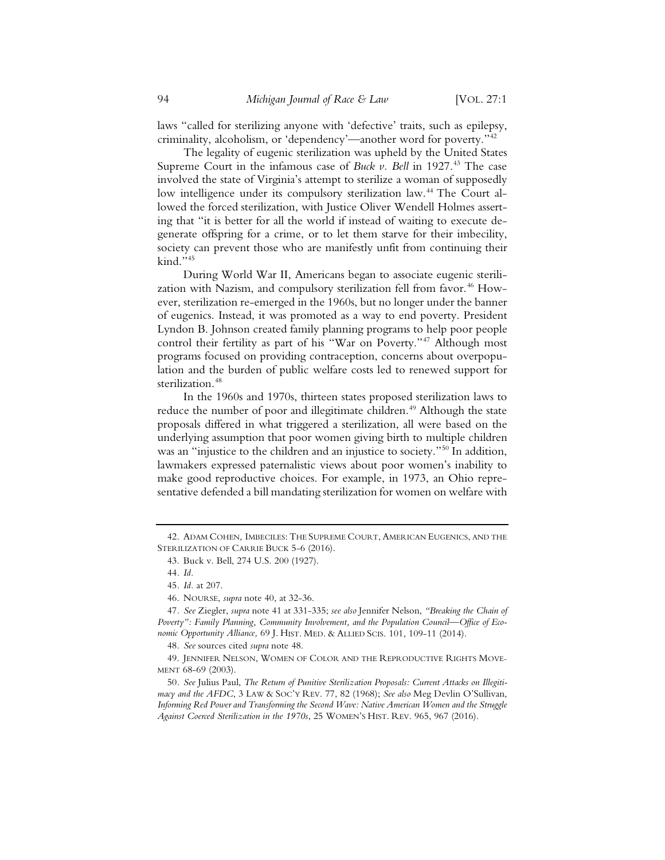laws "called for sterilizing anyone with 'defective' traits, such as epilepsy, criminality, alcoholism, or 'dependency'—another word for poverty."42

The legality of eugenic sterilization was upheld by the United States Supreme Court in the infamous case of *Buck v. Bell* in 1927.<sup>43</sup> The case involved the state of Virginia's attempt to sterilize a woman of supposedly low intelligence under its compulsory sterilization law.<sup>44</sup> The Court allowed the forced sterilization, with Justice Oliver Wendell Holmes asserting that "it is better for all the world if instead of waiting to execute degenerate offspring for a crime, or to let them starve for their imbecility, society can prevent those who are manifestly unfit from continuing their kind."45

During World War II, Americans began to associate eugenic sterilization with Nazism, and compulsory sterilization fell from favor.<sup>46</sup> However, sterilization re-emerged in the 1960s, but no longer under the banner of eugenics. Instead, it was promoted as a way to end poverty. President Lyndon B. Johnson created family planning programs to help poor people control their fertility as part of his "War on Poverty."<sup>47</sup> Although most programs focused on providing contraception, concerns about overpopulation and the burden of public welfare costs led to renewed support for sterilization.<sup>48</sup>

In the 1960s and 1970s, thirteen states proposed sterilization laws to reduce the number of poor and illegitimate children.<sup>49</sup> Although the state proposals differed in what triggered a sterilization, all were based on the underlying assumption that poor women giving birth to multiple children was an "injustice to the children and an injustice to society."<sup>50</sup> In addition, lawmakers expressed paternalistic views about poor women's inability to make good reproductive choices. For example, in 1973, an Ohio representative defended a bill mandating sterilization for women on welfare with

<sup>42.</sup> ADAM COHEN, IMBECILES: THE SUPREME COURT, AMERICAN EUGENICS, AND THE STERILIZATION OF CARRIE BUCK 5-6 (2016).

<sup>43.</sup> Buck v. Bell, 274 U.S. 200 (1927).

<sup>44</sup>*. Id.*

<sup>45</sup>*. Id.* at 207.

<sup>46.</sup> NOURSE, *supra* note 40, at 32-36.

<sup>47</sup>*. See* Ziegler, *supra* note 41 at 331-335; *see also* Jennifer Nelson, *"Breaking the Chain of Poverty": Family Planning, Community Involvement, and the Population Council—Office of Economic Opportunity Alliance,* 69 J. HIST. MED.&ALLIED SCIS. 101, 109-11 (2014).

<sup>48</sup>*. See* sources cited *supra* note 48.

<sup>49.</sup> JENNIFER NELSON, WOMEN OF COLOR AND THE REPRODUCTIVE RIGHTS MOVE-MENT 68-69 (2003).

<sup>50</sup>*. See* Julius Paul, *The Return of Punitive Sterilization Proposals: Current Attacks on Illegitimacy and the AFDC*, 3 LAW & SOC'Y REV. 77, 82 (1968); *See also* Meg Devlin O'Sullivan, *Informing Red Power and Transforming the Second Wave: Native American Women and the Struggle Against Coerced Sterilization in the 1970s*, 25 WOMEN'S HIST. REV. 965, 967 (2016).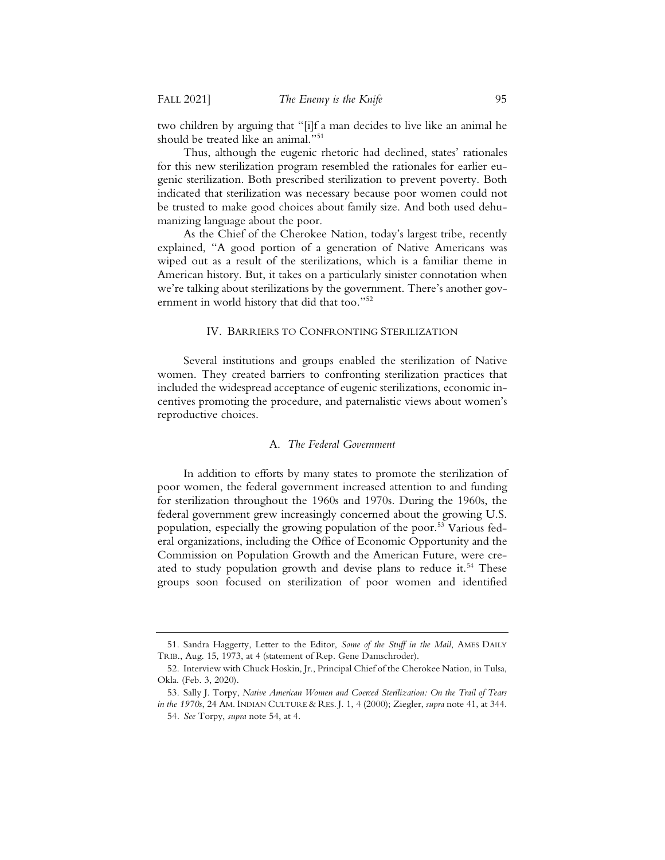two children by arguing that "[i]f a man decides to live like an animal he should be treated like an animal."51

Thus, although the eugenic rhetoric had declined, states' rationales for this new sterilization program resembled the rationales for earlier eugenic sterilization. Both prescribed sterilization to prevent poverty. Both indicated that sterilization was necessary because poor women could not be trusted to make good choices about family size. And both used dehumanizing language about the poor.

As the Chief of the Cherokee Nation, today's largest tribe, recently explained, "A good portion of a generation of Native Americans was wiped out as a result of the sterilizations, which is a familiar theme in American history. But, it takes on a particularly sinister connotation when we're talking about sterilizations by the government. There's another government in world history that did that too."52

#### IV. BARRIERS TO CONFRONTING STERILIZATION

Several institutions and groups enabled the sterilization of Native women. They created barriers to confronting sterilization practices that included the widespread acceptance of eugenic sterilizations, economic incentives promoting the procedure, and paternalistic views about women's reproductive choices.

#### A. *The Federal Government*

In addition to efforts by many states to promote the sterilization of poor women, the federal government increased attention to and funding for sterilization throughout the 1960s and 1970s. During the 1960s, the federal government grew increasingly concerned about the growing U.S. population, especially the growing population of the poor.<sup>53</sup> Various federal organizations, including the Office of Economic Opportunity and the Commission on Population Growth and the American Future, were created to study population growth and devise plans to reduce it.<sup>54</sup> These groups soon focused on sterilization of poor women and identified

<sup>51.</sup> Sandra Haggerty, Letter to the Editor, *Some of the Stuff in the Mail*, AMES DAILY TRIB., Aug. 15, 1973, at 4 (statement of Rep. Gene Damschroder).

<sup>52.</sup> Interview with Chuck Hoskin, Jr., Principal Chief of the Cherokee Nation, in Tulsa, Okla. (Feb. 3, 2020).

<sup>53.</sup> Sally J. Torpy, *Native American Women and Coerced Sterilization: On the Trail of Tears in the 1970s*, 24 AM. INDIAN CULTURE & RES. J. 1, 4 (2000); Ziegler, *supra* note 41, at 344.

<sup>54</sup>*. See* Torpy, *supra* note 54, at 4.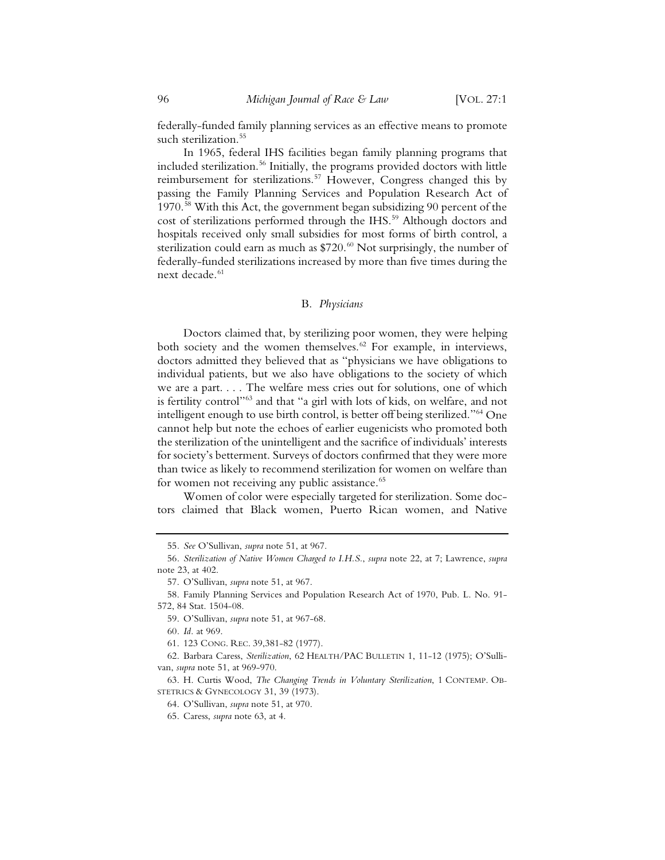federally-funded family planning services as an effective means to promote such sterilization.<sup>55</sup>

In 1965, federal IHS facilities began family planning programs that included sterilization.<sup>56</sup> Initially, the programs provided doctors with little reimbursement for sterilizations.<sup>57</sup> However, Congress changed this by passing the Family Planning Services and Population Research Act of 1970.58 With this Act, the government began subsidizing 90 percent of the cost of sterilizations performed through the IHS.<sup>59</sup> Although doctors and hospitals received only small subsidies for most forms of birth control, a sterilization could earn as much as  $$720.60$  Not surprisingly, the number of federally-funded sterilizations increased by more than five times during the next decade.<sup>61</sup>

#### B. *Physicians*

Doctors claimed that, by sterilizing poor women, they were helping both society and the women themselves.<sup>62</sup> For example, in interviews, doctors admitted they believed that as "physicians we have obligations to individual patients, but we also have obligations to the society of which we are a part. . . . The welfare mess cries out for solutions, one of which is fertility control"63 and that "a girl with lots of kids, on welfare, and not intelligent enough to use birth control, is better off being sterilized."64 One cannot help but note the echoes of earlier eugenicists who promoted both the sterilization of the unintelligent and the sacrifice of individuals' interests for society's betterment. Surveys of doctors confirmed that they were more than twice as likely to recommend sterilization for women on welfare than for women not receiving any public assistance.<sup>65</sup>

Women of color were especially targeted for sterilization. Some doctors claimed that Black women, Puerto Rican women, and Native

<sup>55</sup>*. See* O'Sullivan, *supra* note 51, at 967.

<sup>56</sup>*. Sterilization of Native Women Charged to I.H.S.*, *supra* note 22, at 7; Lawrence, *supra*  note 23, at 402.

<sup>57.</sup> O'Sullivan, *supra* note 51, at 967.

<sup>58.</sup> Family Planning Services and Population Research Act of 1970, Pub. L. No. 91- 572, 84 Stat. 1504-08.

<sup>59.</sup> O'Sullivan, *supra* note 51, at 967-68.

<sup>60</sup>*. Id.* at 969.

<sup>61. 123</sup> CONG. REC. 39,381-82 (1977).

<sup>62.</sup> Barbara Caress, *Sterilization*, 62 HEALTH/PAC BULLETIN 1, 11-12 (1975); O'Sullivan, *supra* note 51, at 969-970.

<sup>63.</sup> H. Curtis Wood, *The Changing Trends in Voluntary Sterilization*, 1 CONTEMP. OB-STETRICS & GYNECOLOGY 31, 39 (1973).

<sup>64.</sup> O'Sullivan, *supra* note 51, at 970.

<sup>65.</sup> Caress, *supra* note 63, at 4.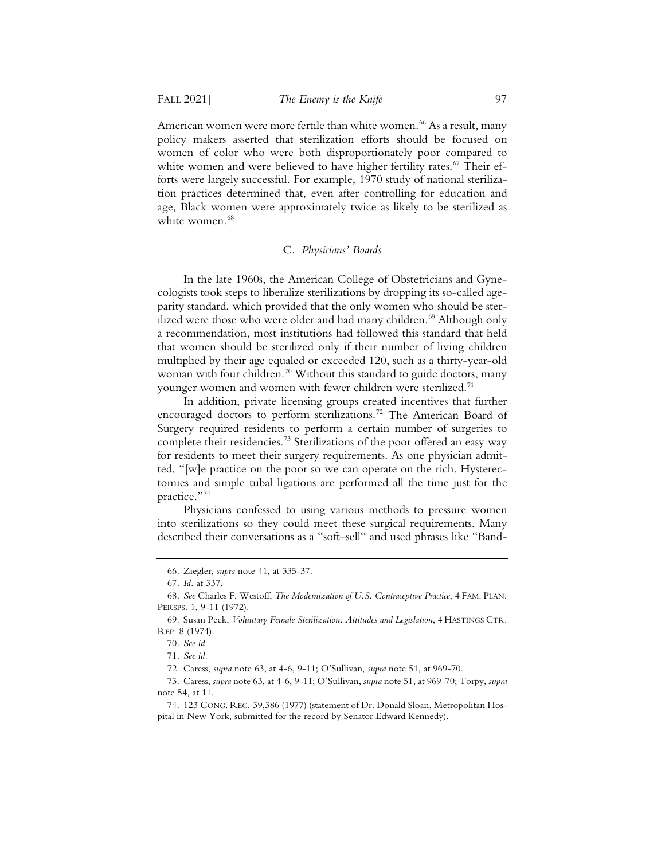American women were more fertile than white women.<sup>66</sup> As a result, many policy makers asserted that sterilization efforts should be focused on women of color who were both disproportionately poor compared to white women and were believed to have higher fertility rates.<sup>67</sup> Their efforts were largely successful. For example, 1970 study of national sterilization practices determined that, even after controlling for education and age, Black women were approximately twice as likely to be sterilized as white women.<sup>68</sup>

#### C. *Physicians' Boards*

In the late 1960s, the American College of Obstetricians and Gynecologists took steps to liberalize sterilizations by dropping its so-called ageparity standard, which provided that the only women who should be sterilized were those who were older and had many children.<sup>69</sup> Although only a recommendation, most institutions had followed this standard that held that women should be sterilized only if their number of living children multiplied by their age equaled or exceeded 120, such as a thirty-year-old woman with four children.<sup>70</sup> Without this standard to guide doctors, many younger women and women with fewer children were sterilized.<sup>71</sup>

In addition, private licensing groups created incentives that further encouraged doctors to perform sterilizations.<sup>72</sup> The American Board of Surgery required residents to perform a certain number of surgeries to complete their residencies.<sup>73</sup> Sterilizations of the poor offered an easy way for residents to meet their surgery requirements. As one physician admitted, "[w]e practice on the poor so we can operate on the rich. Hysterectomies and simple tubal ligations are performed all the time just for the practice."74

Physicians confessed to using various methods to pressure women into sterilizations so they could meet these surgical requirements. Many described their conversations as a "soft–sell" and used phrases like "Band-

<sup>66.</sup> Ziegler, *supra* note 41, at 335-37.

<sup>67</sup>*. Id.* at 337.

<sup>68</sup>*. See* Charles F. Westoff, *The Modernization of U.S. Contraceptive Practice*, 4 FAM. PLAN. PERSPS. 1, 9-11 (1972).

<sup>69.</sup> Susan Peck, *Voluntary Female Sterilization: Attitudes and Legislation*, 4 HASTINGS CTR. REP. 8 (1974).

<sup>70</sup>*. See id.*

<sup>71</sup>*. See id.*

<sup>72.</sup> Caress, *supra* note 63, at 4-6, 9-11; O'Sullivan, *supra* note 51, at 969-70.

<sup>73.</sup> Caress, *supra* note 63, at 4-6, 9-11; O'Sullivan, *supra* note 51, at 969-70; Torpy, *supra*  note 54, at 11.

<sup>74. 123</sup> CONG. REC. 39,386 (1977) (statement of Dr. Donald Sloan, Metropolitan Hospital in New York, submitted for the record by Senator Edward Kennedy).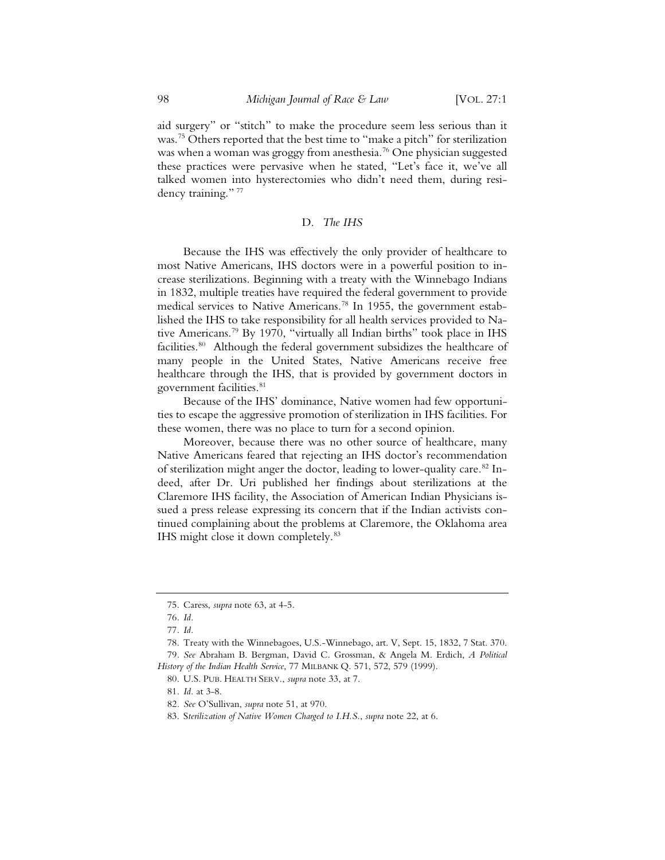aid surgery" or "stitch" to make the procedure seem less serious than it was.<sup>75</sup> Others reported that the best time to "make a pitch" for sterilization was when a woman was groggy from anesthesia.<sup>76</sup> One physician suggested these practices were pervasive when he stated, "Let's face it, we've all talked women into hysterectomies who didn't need them, during residency training." 77

#### D. *The IHS*

Because the IHS was effectively the only provider of healthcare to most Native Americans, IHS doctors were in a powerful position to increase sterilizations. Beginning with a treaty with the Winnebago Indians in 1832, multiple treaties have required the federal government to provide medical services to Native Americans.<sup>78</sup> In 1955, the government established the IHS to take responsibility for all health services provided to Native Americans.79 By 1970, "virtually all Indian births" took place in IHS facilities.<sup>80</sup> Although the federal government subsidizes the healthcare of many people in the United States, Native Americans receive free healthcare through the IHS, that is provided by government doctors in government facilities.<sup>81</sup>

Because of the IHS' dominance, Native women had few opportunities to escape the aggressive promotion of sterilization in IHS facilities. For these women, there was no place to turn for a second opinion.

Moreover, because there was no other source of healthcare, many Native Americans feared that rejecting an IHS doctor's recommendation of sterilization might anger the doctor, leading to lower-quality care.<sup>82</sup> Indeed, after Dr. Uri published her findings about sterilizations at the Claremore IHS facility, the Association of American Indian Physicians issued a press release expressing its concern that if the Indian activists continued complaining about the problems at Claremore, the Oklahoma area IHS might close it down completely.<sup>83</sup>

<sup>75.</sup> Caress, *supra* note 63, at 4-5.

<sup>76</sup>*. Id.*

<sup>77</sup>*. Id.*

<sup>78.</sup> Treaty with the Winnebagoes, U.S.-Winnebago, art. V, Sept. 15, 1832, 7 Stat. 370. 79*. See* Abraham B. Bergman, David C. Grossman, & Angela M. Erdich, *A Political History of the Indian Health Service*, 77 MILBANK Q. 571, 572, 579 (1999).

<sup>80.</sup> U.S. PUB. HEALTH SERV., *supra* note 33, at 7.

<sup>81</sup>*. Id.* at 3-8.

<sup>82</sup>*. See* O'Sullivan, *supra* note 51, at 970.

<sup>83.</sup> S*terilization of Native Women Charged to I.H.S.*, *supra* note 22, at 6.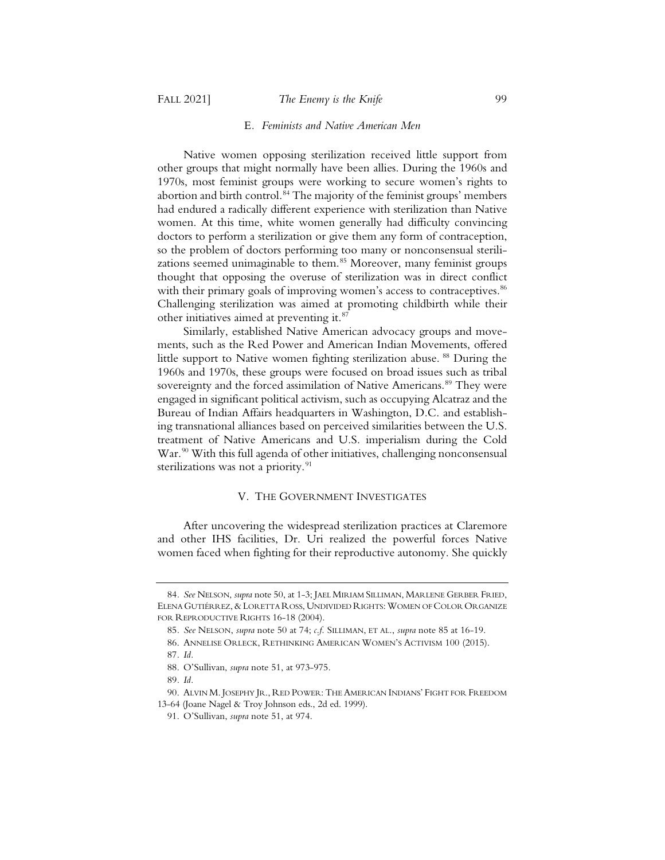#### FALL 2021] *The Enemy is the Knife* 99

#### E*. Feminists and Native American Men*

Native women opposing sterilization received little support from other groups that might normally have been allies. During the 1960s and 1970s, most feminist groups were working to secure women's rights to abortion and birth control.<sup>84</sup> The majority of the feminist groups' members had endured a radically different experience with sterilization than Native women. At this time, white women generally had difficulty convincing doctors to perform a sterilization or give them any form of contraception, so the problem of doctors performing too many or nonconsensual sterilizations seemed unimaginable to them.<sup>85</sup> Moreover, many feminist groups thought that opposing the overuse of sterilization was in direct conflict with their primary goals of improving women's access to contraceptives.<sup>86</sup> Challenging sterilization was aimed at promoting childbirth while their other initiatives aimed at preventing it.87

Similarly, established Native American advocacy groups and movements, such as the Red Power and American Indian Movements, offered little support to Native women fighting sterilization abuse. <sup>88</sup> During the 1960s and 1970s, these groups were focused on broad issues such as tribal sovereignty and the forced assimilation of Native Americans.<sup>89</sup> They were engaged in significant political activism, such as occupying Alcatraz and the Bureau of Indian Affairs headquarters in Washington, D.C. and establishing transnational alliances based on perceived similarities between the U.S. treatment of Native Americans and U.S. imperialism during the Cold War.<sup>90</sup> With this full agenda of other initiatives, challenging nonconsensual sterilizations was not a priority.<sup>91</sup>

#### V. THE GOVERNMENT INVESTIGATES

After uncovering the widespread sterilization practices at Claremore and other IHS facilities, Dr. Uri realized the powerful forces Native women faced when fighting for their reproductive autonomy. She quickly

<sup>84</sup>*. See* NELSON, *supra* note 50, at 1-3; JAEL MIRIAM SILLIMAN, MARLENE GERBER FRIED, ELENA GUTIÉRREZ,&LORETTA ROSS, UNDIVIDED RIGHTS: WOMEN OF COLOR ORGANIZE FOR REPRODUCTIVE RIGHTS 16-18 (2004).

<sup>85</sup>*. See* NELSON, *supra* note 50 at 74; *c.f.* SILLIMAN, ET AL., *supra* note 85 at 16-19.

<sup>86.</sup> ANNELISE ORLECK, RETHINKING AMERICAN WOMEN'S ACTIVISM 100 (2015).

<sup>87</sup>*. Id.*

<sup>88.</sup> O'Sullivan, *supra* note 51, at 973-975.

<sup>89</sup>*. Id.*

<sup>90.</sup> ALVIN M. JOSEPHY JR., RED POWER: THE AMERICAN INDIANS' FIGHT FOR FREEDOM 13-64 (Joane Nagel & Troy Johnson eds., 2d ed. 1999).

<sup>91.</sup> O'Sullivan, *supra* note 51, at 974.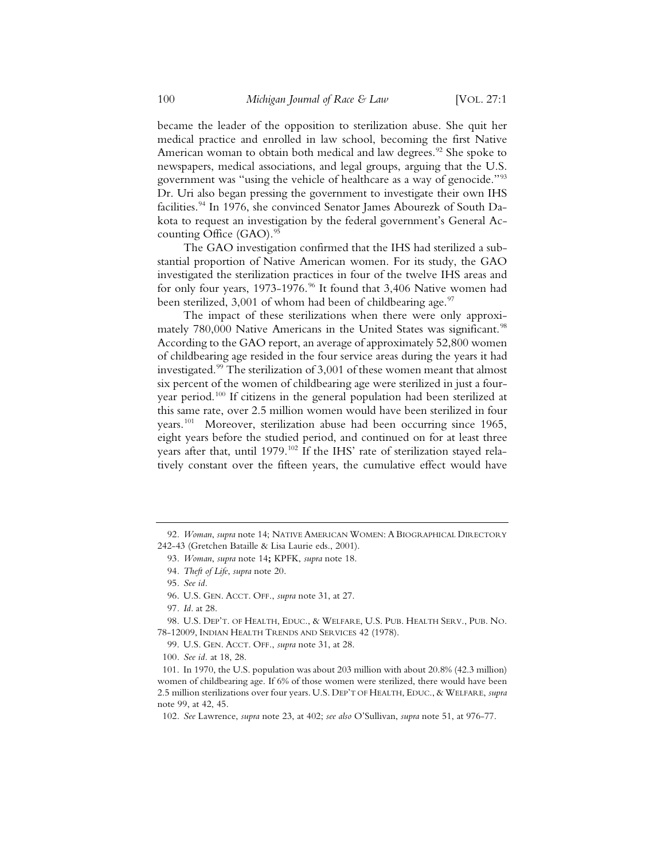became the leader of the opposition to sterilization abuse. She quit her medical practice and enrolled in law school, becoming the first Native American woman to obtain both medical and law degrees.<sup>92</sup> She spoke to newspapers, medical associations, and legal groups, arguing that the U.S. government was "using the vehicle of healthcare as a way of genocide."93 Dr. Uri also began pressing the government to investigate their own IHS facilities.<sup>94</sup> In 1976, she convinced Senator James Abourezk of South Dakota to request an investigation by the federal government's General Accounting Office  $(GAO)$ .<sup>95</sup>

The GAO investigation confirmed that the IHS had sterilized a substantial proportion of Native American women. For its study, the GAO investigated the sterilization practices in four of the twelve IHS areas and for only four years,  $1973-1976.^{96}$  It found that 3,406 Native women had been sterilized,  $3,001$  of whom had been of childbearing age.<sup>97</sup>

The impact of these sterilizations when there were only approximately 780,000 Native Americans in the United States was significant.<sup>98</sup> According to the GAO report, an average of approximately 52,800 women of childbearing age resided in the four service areas during the years it had investigated.99 The sterilization of 3,001 of these women meant that almost six percent of the women of childbearing age were sterilized in just a fouryear period.100 If citizens in the general population had been sterilized at this same rate, over 2.5 million women would have been sterilized in four years.101 Moreover, sterilization abuse had been occurring since 1965, eight years before the studied period, and continued on for at least three years after that, until 1979.<sup>102</sup> If the IHS' rate of sterilization stayed relatively constant over the fifteen years, the cumulative effect would have

<sup>92</sup>*. Woman*, *supra* note 14; NATIVE AMERICAN WOMEN:ABIOGRAPHICAL DIRECTORY 242-43 (Gretchen Bataille & Lisa Laurie eds., 2001).

<sup>93</sup>*. Woman*, *supra* note 14**;** KPFK, *supra* note 18.

<sup>94</sup>*. Theft of Life*, *supra* note 20.

<sup>95</sup>*. See id.*

<sup>96.</sup> U.S. GEN. ACCT. OFF., *supra* note 31, at 27.

<sup>97</sup>*. Id.* at 28.

<sup>98.</sup> U.S. DEP'T. OF HEALTH, EDUC., & WELFARE, U.S. PUB. HEALTH SERV., PUB. NO. 78-12009, INDIAN HEALTH TRENDS AND SERVICES 42 (1978).

<sup>99.</sup> U.S. GEN. ACCT. OFF., *supra* note 31, at 28.

<sup>100</sup>*. See id.* at 18, 28.

<sup>101.</sup> In 1970, the U.S. population was about 203 million with about 20.8% (42.3 million) women of childbearing age. If 6% of those women were sterilized, there would have been 2.5 million sterilizations over four years. U.S. DEP'T OF HEALTH, EDUC., & WELFARE, *supra* note 99, at 42, 45.

<sup>102</sup>*. See* Lawrence, *supra* note 23, at 402; *see also* O'Sullivan, *supra* note 51, at 976-77.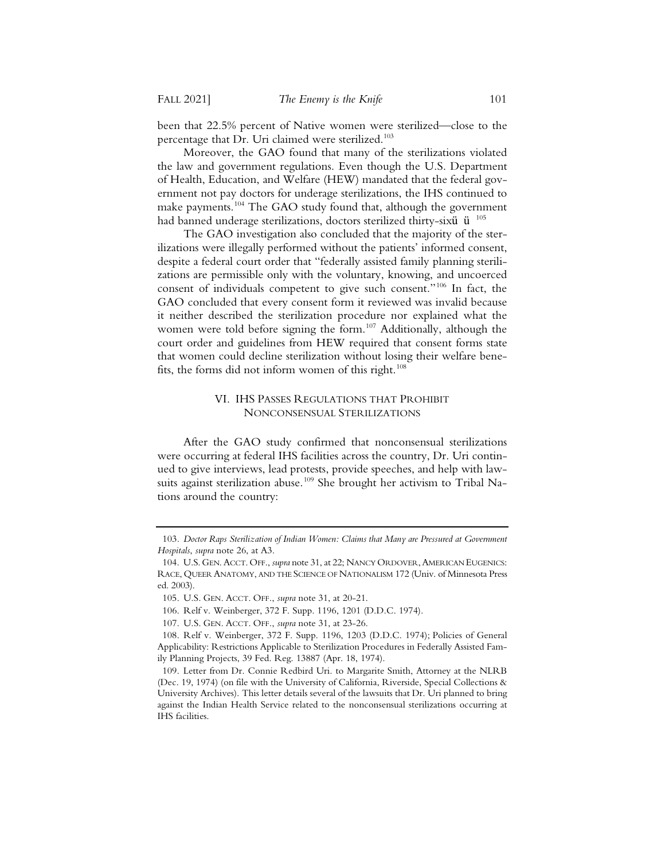been that 22.5% percent of Native women were sterilized—close to the percentage that Dr. Uri claimed were sterilized.<sup>103</sup>

Moreover, the GAO found that many of the sterilizations violated the law and government regulations. Even though the U.S. Department of Health, Education, and Welfare (HEW) mandated that the federal government not pay doctors for underage sterilizations, the IHS continued to make payments.<sup>104</sup> The GAO study found that, although the government had banned underage sterilizations, doctors sterilized thirty-sixü ü <sup>105</sup>

The GAO investigation also concluded that the majority of the sterilizations were illegally performed without the patients' informed consent, despite a federal court order that "federally assisted family planning sterilizations are permissible only with the voluntary, knowing, and uncoerced consent of individuals competent to give such consent."106 In fact, the GAO concluded that every consent form it reviewed was invalid because it neither described the sterilization procedure nor explained what the women were told before signing the form.<sup>107</sup> Additionally, although the court order and guidelines from HEW required that consent forms state that women could decline sterilization without losing their welfare benefits, the forms did not inform women of this right.<sup>108</sup>

#### VI. IHS PASSES REGULATIONS THAT PROHIBIT NONCONSENSUAL STERILIZATIONS

After the GAO study confirmed that nonconsensual sterilizations were occurring at federal IHS facilities across the country, Dr. Uri continued to give interviews, lead protests, provide speeches, and help with lawsuits against sterilization abuse.<sup>109</sup> She brought her activism to Tribal Nations around the country:

<sup>103</sup>*. Doctor Raps Sterilization of Indian Women: Claims that Many are Pressured at Government Hospitals*, *supra* note 26, at A3.

<sup>104.</sup> U.S. GEN. ACCT. OFF., *supra* note 31, at 22; NANCY ORDOVER, AMERICAN EUGENICS: RACE, QUEER ANATOMY, AND THE SCIENCE OF NATIONALISM 172 (Univ. of Minnesota Press ed. 2003).

<sup>105.</sup> U.S. GEN. ACCT. OFF., *supra* note 31, at 20-21.

<sup>106.</sup> Relf v. Weinberger, 372 F. Supp. 1196, 1201 (D.D.C. 1974).

<sup>107.</sup> U.S. GEN. ACCT. OFF., *supra* note 31, at 23-26.

<sup>108.</sup> Relf v. Weinberger, 372 F. Supp. 1196, 1203 (D.D.C. 1974); Policies of General Applicability: Restrictions Applicable to Sterilization Procedures in Federally Assisted Family Planning Projects, 39 Fed. Reg. 13887 (Apr. 18, 1974).

<sup>109.</sup> Letter from Dr. Connie Redbird Uri. to Margarite Smith, Attorney at the NLRB (Dec. 19, 1974) (on file with the University of California, Riverside, Special Collections & University Archives). This letter details several of the lawsuits that Dr. Uri planned to bring against the Indian Health Service related to the nonconsensual sterilizations occurring at IHS facilities.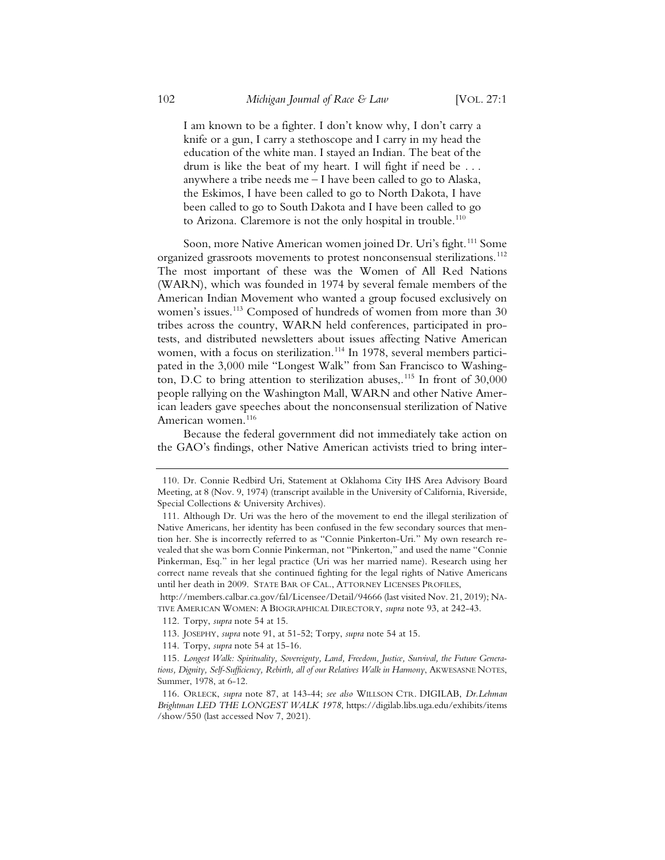I am known to be a fighter. I don't know why, I don't carry a knife or a gun, I carry a stethoscope and I carry in my head the education of the white man. I stayed an Indian. The beat of the drum is like the beat of my heart. I will fight if need be . . . anywhere a tribe needs me  $-1$  have been called to go to Alaska, the Eskimos, I have been called to go to North Dakota, I have been called to go to South Dakota and I have been called to go to Arizona. Claremore is not the only hospital in trouble.<sup>110</sup>

Soon, more Native American women joined Dr. Uri's fight.<sup>111</sup> Some organized grassroots movements to protest nonconsensual sterilizations.<sup>112</sup> The most important of these was the Women of All Red Nations (WARN), which was founded in 1974 by several female members of the American Indian Movement who wanted a group focused exclusively on women's issues.<sup>113</sup> Composed of hundreds of women from more than 30 tribes across the country, WARN held conferences, participated in protests, and distributed newsletters about issues affecting Native American women, with a focus on sterilization.<sup>114</sup> In 1978, several members participated in the 3,000 mile "Longest Walk" from San Francisco to Washington, D.C to bring attention to sterilization abuses,.<sup>115</sup> In front of  $30,000$ people rallying on the Washington Mall, WARN and other Native American leaders gave speeches about the nonconsensual sterilization of Native American women.<sup>116</sup>

Because the federal government did not immediately take action on the GAO's findings, other Native American activists tried to bring inter-

http://members.calbar.ca.gov/fal/Licensee/Detail/94666 (last visited Nov. 21, 2019); NA-TIVE AMERICAN WOMEN: A BIOGRAPHICAL DIRECTORY, *supra* note 93, at 242-43.

112. Torpy, *supra* note 54 at 15.

114. Torpy, *supra* note 54 at 15-16.

<sup>110.</sup> Dr. Connie Redbird Uri, Statement at Oklahoma City IHS Area Advisory Board Meeting, at 8 (Nov. 9, 1974) (transcript available in the University of California, Riverside, Special Collections & University Archives).

<sup>111.</sup> Although Dr. Uri was the hero of the movement to end the illegal sterilization of Native Americans, her identity has been confused in the few secondary sources that mention her. She is incorrectly referred to as "Connie Pinkerton-Uri." My own research revealed that she was born Connie Pinkerman, not "Pinkerton," and used the name "Connie Pinkerman, Esq." in her legal practice (Uri was her married name). Research using her correct name reveals that she continued fighting for the legal rights of Native Americans until her death in 2009. STATE BAR OF CAL., ATTORNEY LICENSES PROFILES,

<sup>113.</sup> JOSEPHY, *supra* note 91, at 51-52; Torpy, *supra* note 54 at 15.

<sup>115</sup>*. Longest Walk: Spirituality, Sovereignty, Land, Freedom, Justice, Survival, the Future Generations, Dignity, Self-Sufficiency, Rebirth, all of our Relatives Walk in Harmony*, AKWESASNE NOTES, Summer, 1978, at 6-12.

<sup>116.</sup> ORLECK, *supra* note 87, at 143-44; *see also* WILLSON CTR. DIGILAB, *Dr.Lehman Brightman LED THE LONGEST WALK 1978*, https://digilab.libs.uga.edu/exhibits/items /show/550 (last accessed Nov 7, 2021).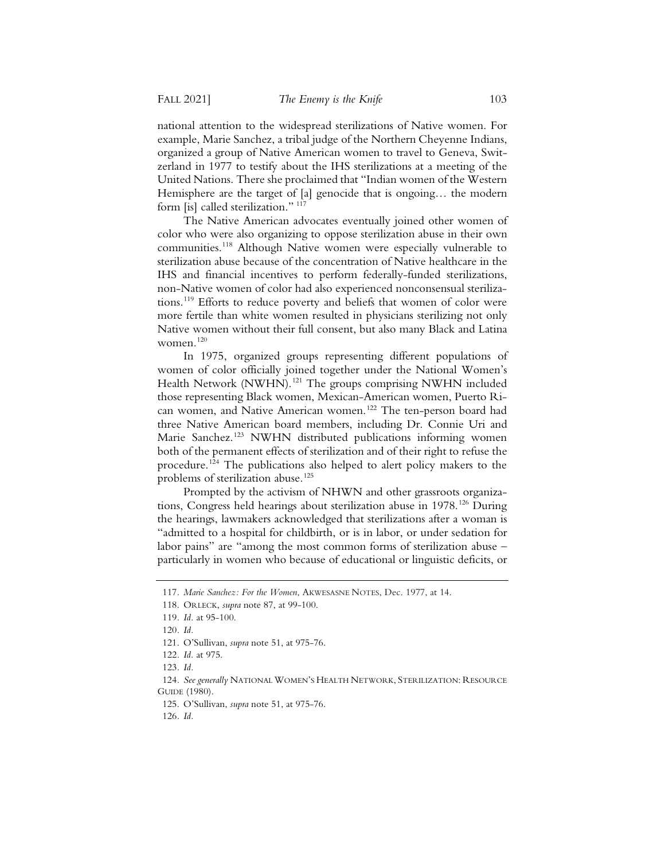national attention to the widespread sterilizations of Native women. For example, Marie Sanchez, a tribal judge of the Northern Cheyenne Indians, organized a group of Native American women to travel to Geneva, Switzerland in 1977 to testify about the IHS sterilizations at a meeting of the United Nations. There she proclaimed that "Indian women of the Western Hemisphere are the target of [a] genocide that is ongoing… the modern form [is] called sterilization."<sup>117</sup>

The Native American advocates eventually joined other women of color who were also organizing to oppose sterilization abuse in their own communities.<sup>118</sup> Although Native women were especially vulnerable to sterilization abuse because of the concentration of Native healthcare in the IHS and financial incentives to perform federally-funded sterilizations, non-Native women of color had also experienced nonconsensual sterilizations.119 Efforts to reduce poverty and beliefs that women of color were more fertile than white women resulted in physicians sterilizing not only Native women without their full consent, but also many Black and Latina women. $120$ 

In 1975, organized groups representing different populations of women of color officially joined together under the National Women's Health Network (NWHN).<sup>121</sup> The groups comprising NWHN included those representing Black women, Mexican-American women, Puerto Rican women, and Native American women.<sup>122</sup> The ten-person board had three Native American board members, including Dr. Connie Uri and Marie Sanchez.<sup>123</sup> NWHN distributed publications informing women both of the permanent effects of sterilization and of their right to refuse the procedure.124 The publications also helped to alert policy makers to the problems of sterilization abuse.<sup>125</sup>

Prompted by the activism of NHWN and other grassroots organizations, Congress held hearings about sterilization abuse in 1978.<sup>126</sup> During the hearings, lawmakers acknowledged that sterilizations after a woman is "admitted to a hospital for childbirth, or is in labor, or under sedation for labor pains" are "among the most common forms of sterilization abuse – particularly in women who because of educational or linguistic deficits, or

<sup>117</sup>*. Marie Sanchez: For the Women*, AKWESASNE NOTES, Dec. 1977, at 14.

<sup>118.</sup> ORLECK, *supra* note 87, at 99-100.

<sup>119</sup>*. Id.* at 95-100.

<sup>120</sup>*. Id.*

<sup>121.</sup> O'Sullivan, *supra* note 51, at 975-76.

<sup>122</sup>*. Id.* at 975.

<sup>123</sup>*. Id.*

<sup>124</sup>*. See generally* NATIONAL WOMEN'S HEALTH NETWORK, STERILIZATION: RESOURCE GUIDE (1980).

<sup>125.</sup> O'Sullivan, *supra* note 51, at 975-76.

<sup>126</sup>*. Id.*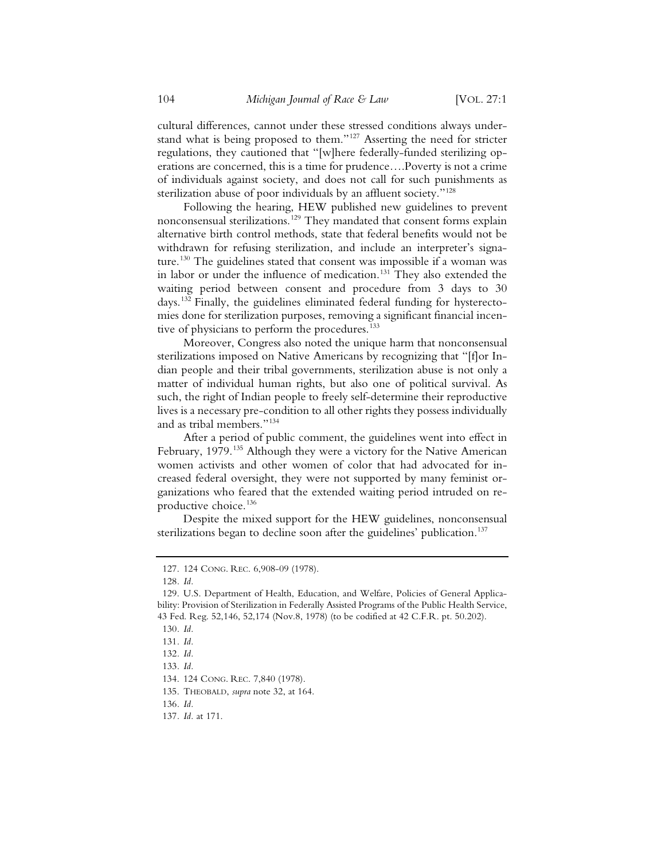cultural differences, cannot under these stressed conditions always understand what is being proposed to them."<sup>127</sup> Asserting the need for stricter regulations, they cautioned that "[w]here federally-funded sterilizing operations are concerned, this is a time for prudence….Poverty is not a crime of individuals against society, and does not call for such punishments as sterilization abuse of poor individuals by an affluent society."<sup>128</sup>

Following the hearing, HEW published new guidelines to prevent nonconsensual sterilizations.129 They mandated that consent forms explain alternative birth control methods, state that federal benefits would not be withdrawn for refusing sterilization, and include an interpreter's signature.<sup>130</sup> The guidelines stated that consent was impossible if a woman was in labor or under the influence of medication.<sup>131</sup> They also extended the waiting period between consent and procedure from 3 days to 30 days.132 Finally, the guidelines eliminated federal funding for hysterectomies done for sterilization purposes, removing a significant financial incentive of physicians to perform the procedures.<sup>133</sup>

Moreover, Congress also noted the unique harm that nonconsensual sterilizations imposed on Native Americans by recognizing that "[f]or Indian people and their tribal governments, sterilization abuse is not only a matter of individual human rights, but also one of political survival. As such, the right of Indian people to freely self-determine their reproductive lives is a necessary pre-condition to all other rights they possess individually and as tribal members."134

After a period of public comment, the guidelines went into effect in February, 1979.<sup>135</sup> Although they were a victory for the Native American women activists and other women of color that had advocated for increased federal oversight, they were not supported by many feminist organizations who feared that the extended waiting period intruded on reproductive choice.<sup>136</sup>

Despite the mixed support for the HEW guidelines, nonconsensual sterilizations began to decline soon after the guidelines' publication.<sup>137</sup>

<sup>127. 124</sup> CONG. REC. 6,908-09 (1978).

<sup>128</sup>*. Id.*

<sup>129.</sup> U.S. Department of Health, Education, and Welfare, Policies of General Applicability: Provision of Sterilization in Federally Assisted Programs of the Public Health Service, 43 Fed. Reg. 52,146, 52,174 (Nov.8, 1978) (to be codified at 42 C.F.R. pt. 50.202).

<sup>130</sup>*. Id.*

<sup>131</sup>*. Id.*

<sup>132</sup>*. Id.*

<sup>133</sup>*. Id.*

<sup>134. 124</sup> CONG. REC. 7,840 (1978).

<sup>135.</sup> THEOBALD, *supra* note 32, at 164.

<sup>136</sup>*. Id.*

<sup>137</sup>*. Id.* at 171.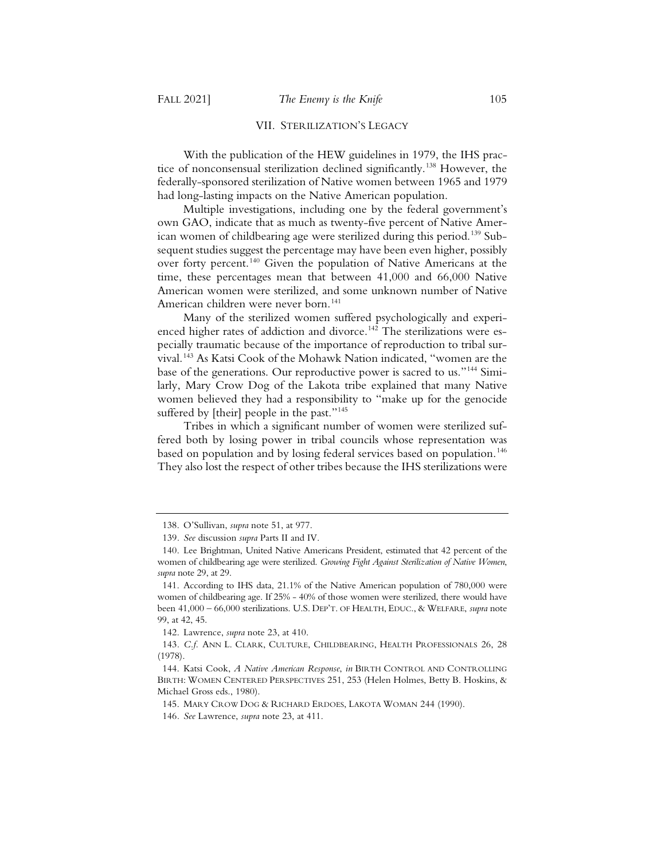#### VII. STERILIZATION'S LEGACY

With the publication of the HEW guidelines in 1979, the IHS practice of nonconsensual sterilization declined significantly.<sup>138</sup> However, the federally-sponsored sterilization of Native women between 1965 and 1979 had long-lasting impacts on the Native American population.

Multiple investigations, including one by the federal government's own GAO, indicate that as much as twenty-five percent of Native American women of childbearing age were sterilized during this period.<sup>139</sup> Subsequent studies suggest the percentage may have been even higher, possibly over forty percent.140 Given the population of Native Americans at the time, these percentages mean that between 41,000 and 66,000 Native American women were sterilized, and some unknown number of Native American children were never born.<sup>141</sup>

Many of the sterilized women suffered psychologically and experienced higher rates of addiction and divorce.<sup>142</sup> The sterilizations were especially traumatic because of the importance of reproduction to tribal survival.143 As Katsi Cook of the Mohawk Nation indicated, "women are the base of the generations. Our reproductive power is sacred to us."144 Similarly, Mary Crow Dog of the Lakota tribe explained that many Native women believed they had a responsibility to "make up for the genocide suffered by [their] people in the past."<sup>145</sup>

Tribes in which a significant number of women were sterilized suffered both by losing power in tribal councils whose representation was based on population and by losing federal services based on population.<sup>146</sup> They also lost the respect of other tribes because the IHS sterilizations were

<sup>138.</sup> O'Sullivan, *supra* note 51, at 977.

<sup>139</sup>*. See* discussion *supra* Parts II and IV.

<sup>140.</sup> Lee Brightman, United Native Americans President, estimated that 42 percent of the women of childbearing age were sterilized. *Growing Fight Against Sterilization of Native Women*, *supra* note 29, at 29.

<sup>141.</sup> According to IHS data, 21.1% of the Native American population of 780,000 were women of childbearing age. If 25% - 40% of those women were sterilized, there would have been 41,000 – 66,000 sterilizations. U.S. DEP'T. OF HEALTH, EDUC., & WELFARE, *supra* note 99, at 42, 45.

<sup>142.</sup> Lawrence, *supra* note 23, at 410.

<sup>143</sup>*. C.f.* ANN L. CLARK, CULTURE, CHILDBEARING, HEALTH PROFESSIONALS 26, 28 (1978).

<sup>144.</sup> Katsi Cook, *A Native American Response*, *in* BIRTH CONTROL AND CONTROLLING BIRTH: WOMEN CENTERED PERSPECTIVES 251, 253 (Helen Holmes, Betty B. Hoskins, & Michael Gross eds., 1980).

<sup>145.</sup> MARY CROW DOG & RICHARD ERDOES, LAKOTA WOMAN 244 (1990).

<sup>146</sup>*. See* Lawrence, *supra* note 23, at 411.